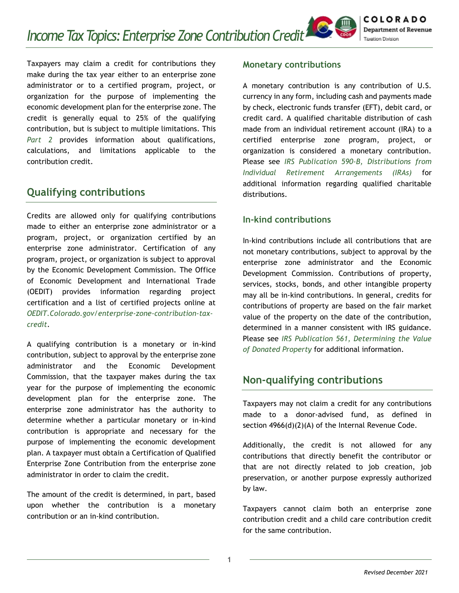Taxpayers may claim a credit for contributions they make during the tax year either to an enterprise zone administrator or to a certified program, project, or organization for the purpose of implementing the economic development plan for the enterprise zone. The credit is generally equal to 25% of the qualifying contribution, but is subject to multiple limitations. This *Part 2* provides information about qualifications, calculations, and limitations applicable to the contribution credit.

# **Qualifying contributions**

Credits are allowed only for qualifying contributions made to either an enterprise zone administrator or a program, project, or organization certified by an enterprise zone administrator. Certification of any program, project, or organization is subject to approval by the Economic Development Commission. The Office of Economic Development and International Trade (OEDIT) provides information regarding project certification and a list of certified projects online at *[OEDIT.Colorado.gov/enterprise-zone-contribution-tax](https://oedit.colorado.gov/enterprise-zone-contribution-tax-credit)[credit](https://oedit.colorado.gov/enterprise-zone-contribution-tax-credit)*.

A qualifying contribution is a monetary or in-kind contribution, subject to approval by the enterprise zone administrator and the Economic Development Commission, that the taxpayer makes during the tax year for the purpose of implementing the economic development plan for the enterprise zone. The enterprise zone administrator has the authority to determine whether a particular monetary or in-kind contribution is appropriate and necessary for the purpose of implementing the economic development plan. A taxpayer must obtain a Certification of Qualified Enterprise Zone Contribution from the enterprise zone administrator in order to claim the credit.

The amount of the credit is determined, in part, based upon whether the contribution is a monetary contribution or an in-kind contribution.

### **Monetary contributions**

A monetary contribution is any contribution of U.S. currency in any form, including cash and payments made by check, electronic funds transfer (EFT), debit card, or credit card. A qualified charitable distribution of cash made from an individual retirement account (IRA) to a certified enterprise zone program, project, or organization is considered a monetary contribution. Please see *[IRS Publication 590-B, Distributions from](https://www.irs.gov/forms-pubs/about-publication-590-b)  [Individual Retirement Arrangements \(IRAs\)](https://www.irs.gov/forms-pubs/about-publication-590-b)* for additional information regarding qualified charitable distributions.

### **In-kind contributions**

In-kind contributions include all contributions that are not monetary contributions, subject to approval by the enterprise zone administrator and the Economic Development Commission. Contributions of property, services, stocks, bonds, and other intangible property may all be in-kind contributions. In general, credits for contributions of property are based on the fair market value of the property on the date of the contribution, determined in a manner consistent with IRS guidance. Please see *[IRS Publication 561, Determining the Value](https://www.irs.gov/forms-pubs/about-publication-561)  [of Donated Property](https://www.irs.gov/forms-pubs/about-publication-561)* for additional information.

# **Non-qualifying contributions**

Taxpayers may not claim a credit for any contributions made to a donor-advised fund, as defined in section 4966(d)(2)(A) of the Internal Revenue Code.

Additionally, the credit is not allowed for any contributions that directly benefit the contributor or that are not directly related to job creation, job preservation, or another purpose expressly authorized by law.

Taxpayers cannot claim both an enterprise zone contribution credit and a child care contribution credit for the same contribution.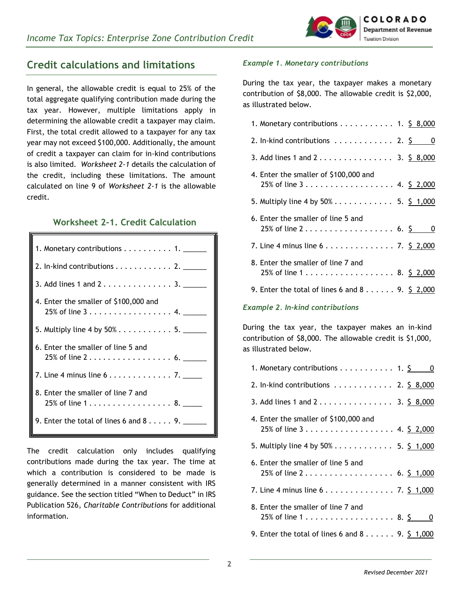

## **Credit calculations and limitations**

In general, the allowable credit is equal to 25% of the total aggregate qualifying contribution made during the tax year. However, multiple limitations apply in determining the allowable credit a taxpayer may claim. First, the total credit allowed to a taxpayer for any tax year may not exceed \$100,000. Additionally, the amount of credit a taxpayer can claim for in-kind contributions is also limited. *Worksheet 2-1* details the calculation of the credit, including these limitations. The amount calculated on line 9 of *Worksheet 2-1* is the allowable credit.

### **Worksheet 2-1. Credit Calculation**

| 1. Monetary contributions $\ldots \ldots \ldots$ 1. _____                                 |
|-------------------------------------------------------------------------------------------|
| 2. In-kind contributions $\ldots \ldots \ldots \ldots$ 2. $\ldots$                        |
| 3. Add lines 1 and $23$ .                                                                 |
| 4. Enter the smaller of \$100,000 and                                                     |
| 5. Multiply line 4 by $50\%$ 5.                                                           |
| 6. Enter the smaller of line 5 and<br>25% of line 2 6.                                    |
| 7. Line 4 minus line $6 \ldots \ldots \ldots \ldots 7$ .                                  |
| 8. Enter the smaller of line 7 and<br>25% of line $1, \ldots, \ldots, \ldots, \ldots, 8,$ |
| 9. Enter the total of lines 6 and $8 \ldots$ , 9.                                         |

The credit calculation only includes qualifying contributions made during the tax year. The time at which a contribution is considered to be made is generally determined in a manner consistent with IRS guidance. See the section titled "When to Deduct" in IRS Publication 526, *Charitable Contributions* for additional information.

#### *Example 1. Monetary contributions*

During the tax year, the taxpayer makes a monetary contribution of \$8,000. The allowable credit is \$2,000, as illustrated below.

| 1. Monetary contributions $\ldots \ldots \ldots \ldots$ 1. \$ 8,000 |  |
|---------------------------------------------------------------------|--|
| 2. In-kind contributions $\dots \dots \dots \dots$ 2. $\zeta$ 0     |  |
| 3. Add lines 1 and 2 3. \$8,000                                     |  |
| 4. Enter the smaller of \$100,000 and                               |  |
|                                                                     |  |
| 5. Multiply line 4 by $50\%$ 5. \$ 1,000                            |  |
| 6. Enter the smaller of line 5 and                                  |  |
| 25% of line 2 6. $\frac{5}{9}$ 0                                    |  |
|                                                                     |  |
| 8. Enter the smaller of line 7 and                                  |  |
| 25% of line 1 8. \$ 2,000                                           |  |
| 9. Enter the total of lines 6 and 8 $\dots$ 9. \$ 2,000             |  |
|                                                                     |  |

#### *Example 2. In-kind contributions*

During the tax year, the taxpayer makes an in-kind contribution of \$8,000. The allowable credit is \$1,000, as illustrated below.

| 1. Monetary contributions 1. $\frac{5}{9}$ 0                                  |
|-------------------------------------------------------------------------------|
| 2. In-kind contributions $\ldots \ldots \ldots \ldots$ 2. $\frac{6}{5}$ 8,000 |
| 3. Add lines 1 and 2 3. \$ 8,000                                              |
| 4. Enter the smaller of \$100,000 and                                         |
| 5. Multiply line 4 by $50\%$ 5. \$ 1,000                                      |
| 6. Enter the smaller of line 5 and<br>25% of line 2 6. \$ 1,000               |
|                                                                               |
| 8. Enter the smaller of line 7 and<br>25% of line 1 8. \$ 0                   |
| 9. Enter the total of lines 6 and 8 9. $\frac{5}{1000}$                       |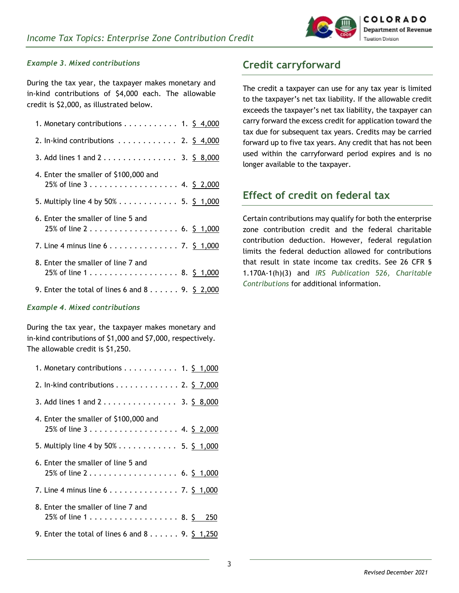

#### *Example 3. Mixed contributions*

During the tax year, the taxpayer makes monetary and in-kind contributions of \$4,000 each. The allowable credit is \$2,000, as illustrated below.

| 1. Monetary contributions 1. $\frac{5}{9}$ 4,000                              |  |  |
|-------------------------------------------------------------------------------|--|--|
| 2. In-kind contributions $\ldots \ldots \ldots \ldots$ 2. $\frac{5}{9}$ 4,000 |  |  |
| 3. Add lines 1 and 2 3. $\frac{5}{9}$ 8,000                                   |  |  |
| 4. Enter the smaller of \$100,000 and                                         |  |  |
|                                                                               |  |  |
| 5. Multiply line 4 by $50\%$ 5. \$ 1,000                                      |  |  |
| 6. Enter the smaller of line 5 and                                            |  |  |
|                                                                               |  |  |
| 7. Line 4 minus line $6 \ldots \ldots \ldots \ldots \ldots$ 7. \$ 1,000       |  |  |
| 8. Enter the smaller of line 7 and                                            |  |  |
| 25% of line 1 8. \$ 1,000                                                     |  |  |
|                                                                               |  |  |
| 9. Enter the total of lines 6 and 8 9. $\frac{5}{9}$ 2,000                    |  |  |

#### *Example 4. Mixed contributions*

During the tax year, the taxpayer makes monetary and in-kind contributions of \$1,000 and \$7,000, respectively. The allowable credit is \$1,250.

| 1. Monetary contributions 1. $\frac{5}{9}$ 1,000 |
|--------------------------------------------------|
| 2. In-kind contributions 2. $\frac{5}{9}$ 7,000  |
| 3. Add lines 1 and 2 3. \$ 8,000                 |
| 4. Enter the smaller of \$100,000 and            |
| 25% of line 3 4. \$ 2,000                        |
| 5. Multiply line 4 by $50\%$ 5. \$ 1,000         |
| 6. Enter the smaller of line 5 and               |
| 25% of line 2 6. \$ 1,000                        |
|                                                  |
| 8. Enter the smaller of line 7 and               |
| 25% of line 1 8. \$ 250                          |
| 9. Enter the total of lines 6 and 8 9. \$ 1,250  |

# **Credit carryforward**

The credit a taxpayer can use for any tax year is limited to the taxpayer's net tax liability. If the allowable credit exceeds the taxpayer's net tax liability, the taxpayer can carry forward the excess credit for application toward the tax due for subsequent tax years. Credits may be carried forward up to five tax years. Any credit that has not been used within the carryforward period expires and is no longer available to the taxpayer.

# **Effect of credit on federal tax**

Certain contributions may qualify for both the enterprise zone contribution credit and the federal charitable contribution deduction. However, federal regulation limits the federal deduction allowed for contributions that result in state income tax credits. See 26 CFR § 1.170A-1(h)(3) and *[IRS Publication 526, Charitable](https://www.irs.gov/forms-pubs/about-publication-526)  [Contributions](https://www.irs.gov/forms-pubs/about-publication-526)* for additional information.